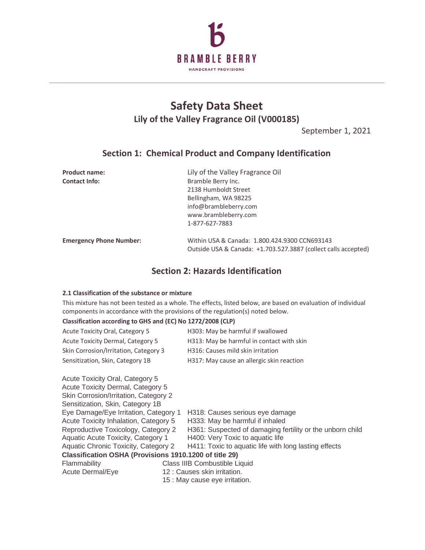

# **Safety Data Sheet Lily of the Valley Fragrance Oil (V000185)**

September 1, 2021

## **Section 1: Chemical Product and Company Identification**

| <b>Product name:</b>           | Lily of the Valley Fragrance Oil                               |
|--------------------------------|----------------------------------------------------------------|
| <b>Contact Info:</b>           | Bramble Berry Inc.                                             |
|                                | 2138 Humboldt Street                                           |
|                                | Bellingham, WA 98225                                           |
|                                | info@brambleberry.com                                          |
|                                | www.brambleberry.com                                           |
|                                | 1-877-627-7883                                                 |
| <b>Emergency Phone Number:</b> | Within USA & Canada: 1.800.424.9300 CCN693143                  |
|                                | Outside USA & Canada: +1.703.527.3887 (collect calls accepted) |

## **Section 2: Hazards Identification**

#### **2.1 Classification of the substance or mixture**

Acute Toxicity Oral, Category 5

This mixture has not been tested as a whole. The effects, listed below, are based on evaluation of individual components in accordance with the provisions of the regulation(s) noted below.

#### **Classification according to GHS and (EC) No 1272/2008 (CLP)**

| <b>Acute Toxicity Oral, Category 5</b>   | H303: May be harmful if swallowed         |
|------------------------------------------|-------------------------------------------|
| <b>Acute Toxicity Dermal, Category 5</b> | H313: May be harmful in contact with skin |
| Skin Corrosion/Irritation, Category 3    | H316: Causes mild skin irritation         |
| Sensitization, Skin, Category 1B         | H317: May cause an allergic skin reaction |

| Acute Toxicity Dermal, Category 5     |                                                           |  |  |
|---------------------------------------|-----------------------------------------------------------|--|--|
| Skin Corrosion/Irritation, Category 2 |                                                           |  |  |
|                                       |                                                           |  |  |
| Eye Damage/Eye Irritation, Category 1 | H318: Causes serious eye damage                           |  |  |
| Acute Toxicity Inhalation, Category 5 | H333: May be harmful if inhaled                           |  |  |
| Reproductive Toxicology, Category 2   | H361: Suspected of damaging fertility or the unborn child |  |  |
| Aquatic Acute Toxicity, Category 1    | H400: Very Toxic to aquatic life                          |  |  |
| Aquatic Chronic Toxicity, Category 2  | H411: Toxic to aquatic life with long lasting effects     |  |  |
|                                       | Classification OSHA (Provisions 1910.1200 of title 29)    |  |  |
|                                       | Class IIIB Combustible Liquid                             |  |  |
|                                       | 12 : Causes skin irritation.                              |  |  |
| 15 : May cause eye irritation.        |                                                           |  |  |
|                                       |                                                           |  |  |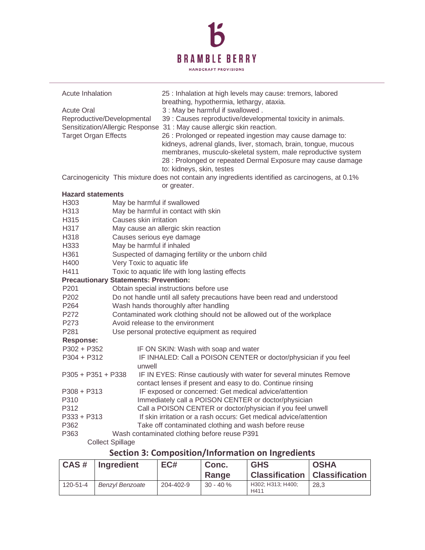

| Acute Inhalation                                                               |                                                                          | 25 : Inhalation at high levels may cause: tremors, labored<br>breathing, hypothermia, lethargy, ataxia.                                                                                                                                                                                                                                                                  |  |  |  |
|--------------------------------------------------------------------------------|--------------------------------------------------------------------------|--------------------------------------------------------------------------------------------------------------------------------------------------------------------------------------------------------------------------------------------------------------------------------------------------------------------------------------------------------------------------|--|--|--|
| <b>Acute Oral</b><br>Reproductive/Developmental<br><b>Target Organ Effects</b> |                                                                          | 3 : May be harmful if swallowed.<br>39 : Causes reproductive/developmental toxicity in animals.<br>Sensitization/Allergic Response 31 : May cause allergic skin reaction.<br>26 : Prolonged or repeated ingestion may cause damage to:<br>kidneys, adrenal glands, liver, stomach, brain, tongue, mucous<br>membranes, musculo-skeletal system, male reproductive system |  |  |  |
|                                                                                |                                                                          | 28 : Prolonged or repeated Dermal Exposure may cause damage<br>to: kidneys, skin, testes                                                                                                                                                                                                                                                                                 |  |  |  |
|                                                                                |                                                                          | Carcinogenicity This mixture does not contain any ingredients identified as carcinogens, at 0.1%<br>or greater.                                                                                                                                                                                                                                                          |  |  |  |
| <b>Hazard statements</b>                                                       |                                                                          |                                                                                                                                                                                                                                                                                                                                                                          |  |  |  |
| H303                                                                           | May be harmful if swallowed                                              |                                                                                                                                                                                                                                                                                                                                                                          |  |  |  |
| H313                                                                           |                                                                          | May be harmful in contact with skin                                                                                                                                                                                                                                                                                                                                      |  |  |  |
| H315                                                                           | Causes skin irritation                                                   |                                                                                                                                                                                                                                                                                                                                                                          |  |  |  |
| H317                                                                           |                                                                          | May cause an allergic skin reaction                                                                                                                                                                                                                                                                                                                                      |  |  |  |
| H318                                                                           | Causes serious eye damage                                                |                                                                                                                                                                                                                                                                                                                                                                          |  |  |  |
| H333                                                                           | May be harmful if inhaled                                                |                                                                                                                                                                                                                                                                                                                                                                          |  |  |  |
| H361                                                                           | Suspected of damaging fertility or the unborn child                      |                                                                                                                                                                                                                                                                                                                                                                          |  |  |  |
| H400                                                                           | Very Toxic to aquatic life                                               |                                                                                                                                                                                                                                                                                                                                                                          |  |  |  |
| Toxic to aquatic life with long lasting effects<br>H411                        |                                                                          |                                                                                                                                                                                                                                                                                                                                                                          |  |  |  |
| <b>Precautionary Statements: Prevention:</b>                                   |                                                                          |                                                                                                                                                                                                                                                                                                                                                                          |  |  |  |
| P201                                                                           |                                                                          | Obtain special instructions before use                                                                                                                                                                                                                                                                                                                                   |  |  |  |
| P <sub>202</sub>                                                               | Do not handle until all safety precautions have been read and understood |                                                                                                                                                                                                                                                                                                                                                                          |  |  |  |
| P <sub>264</sub>                                                               | Wash hands thoroughly after handling                                     |                                                                                                                                                                                                                                                                                                                                                                          |  |  |  |
| P272                                                                           | Contaminated work clothing should not be allowed out of the workplace    |                                                                                                                                                                                                                                                                                                                                                                          |  |  |  |
| P273                                                                           | Avoid release to the environment                                         |                                                                                                                                                                                                                                                                                                                                                                          |  |  |  |
| P281                                                                           | Use personal protective equipment as required                            |                                                                                                                                                                                                                                                                                                                                                                          |  |  |  |
| <b>Response:</b>                                                               |                                                                          |                                                                                                                                                                                                                                                                                                                                                                          |  |  |  |
| P302 + P352                                                                    |                                                                          | IF ON SKIN: Wash with soap and water                                                                                                                                                                                                                                                                                                                                     |  |  |  |
| $P304 + P312$                                                                  | unwell                                                                   | IF INHALED: Call a POISON CENTER or doctor/physician if you feel                                                                                                                                                                                                                                                                                                         |  |  |  |
| P305 + P351 + P338                                                             |                                                                          | IF IN EYES: Rinse cautiously with water for several minutes Remove<br>contact lenses if present and easy to do. Continue rinsing                                                                                                                                                                                                                                         |  |  |  |
| P308 + P313                                                                    |                                                                          | IF exposed or concerned: Get medical advice/attention                                                                                                                                                                                                                                                                                                                    |  |  |  |
| P310                                                                           |                                                                          | Immediately call a POISON CENTER or doctor/physician                                                                                                                                                                                                                                                                                                                     |  |  |  |
| P312                                                                           |                                                                          | Call a POISON CENTER or doctor/physician if you feel unwell                                                                                                                                                                                                                                                                                                              |  |  |  |
| P333 + P313                                                                    |                                                                          | If skin irritation or a rash occurs: Get medical advice/attention                                                                                                                                                                                                                                                                                                        |  |  |  |
| P362                                                                           | Take off contaminated clothing and wash before reuse                     |                                                                                                                                                                                                                                                                                                                                                                          |  |  |  |
| P363                                                                           | Wash contaminated clothing before reuse P391                             |                                                                                                                                                                                                                                                                                                                                                                          |  |  |  |
|                                                                                | <b>Collect Spillage</b>                                                  |                                                                                                                                                                                                                                                                                                                                                                          |  |  |  |

### **Section 3: Composition/Information on Ingredients**

| CAS#     | <b>Ingredient</b>      | EC#       | Conc.<br>Range | <b>GHS</b><br><b>Classification</b> | <b>OSHA</b><br><b>Classification</b> |
|----------|------------------------|-----------|----------------|-------------------------------------|--------------------------------------|
| 120-51-4 | <b>Benzyl Benzoate</b> | 204-402-9 | $30 - 40 \%$   | H302; H313; H400;<br>H411           | 28,3                                 |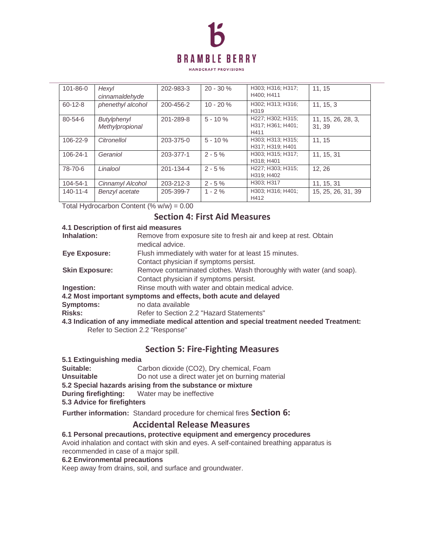

**HANDCRAFT PROVISIONS** 

| 101-86-0       | Hexyl<br>cinnamaldehyde               | 202-983-3 | $20 - 30 \%$ | H303; H316; H317;<br>H400: H411                | 11.15                       |
|----------------|---------------------------------------|-----------|--------------|------------------------------------------------|-----------------------------|
| $60 - 12 - 8$  | phenethyl alcohol                     | 200-456-2 | $10 - 20%$   | H302; H313; H316;<br>H <sub>3</sub> 19         | 11.15.3                     |
| 80-54-6        | <b>Butylphenyl</b><br>Methylpropional | 201-289-8 | $5 - 10 \%$  | H227; H302; H315;<br>H317; H361; H401;<br>H411 | 11, 15, 26, 28, 3,<br>31.39 |
| 106-22-9       | Citronellol                           | 203-375-0 | $5 - 10 \%$  | H303: H313: H315:<br>H317; H319; H401          | 11.15                       |
| $106 - 24 - 1$ | Geraniol                              | 203-377-1 | $2 - 5%$     | H303; H315; H317;<br>H318: H401                | 11. 15. 31                  |
| 78-70-6        | Linalool                              | 201-134-4 | $2 - 5\%$    | H227; H303; H315;<br>H319; H402                | 12.26                       |
| 104-54-1       | Cinnamyl Alcohol                      | 203-212-3 | $2 - 5\%$    | H303; H317                                     | 11, 15, 31                  |
| $140 - 11 - 4$ | Benzyl acetate                        | 205-399-7 | $1 - 2%$     | H303; H316; H401;<br>H412                      | 15, 25, 26, 31, 39          |

Total Hydrocarbon Content  $(\% w/w) = 0.00$ 

### **Section 4: First Aid Measures**

| 4.1 Description of first aid measures                                                     |                                                                                    |  |  |  |
|-------------------------------------------------------------------------------------------|------------------------------------------------------------------------------------|--|--|--|
| Inhalation:                                                                               | Remove from exposure site to fresh air and keep at rest. Obtain<br>medical advice. |  |  |  |
| <b>Eye Exposure:</b>                                                                      | Flush immediately with water for at least 15 minutes.                              |  |  |  |
|                                                                                           | Contact physician if symptoms persist.                                             |  |  |  |
| <b>Skin Exposure:</b>                                                                     | Remove contaminated clothes. Wash thoroughly with water (and soap).                |  |  |  |
|                                                                                           | Contact physician if symptoms persist.                                             |  |  |  |
| Ingestion:                                                                                | Rinse mouth with water and obtain medical advice.                                  |  |  |  |
| 4.2 Most important symptoms and effects, both acute and delayed                           |                                                                                    |  |  |  |
| <b>Symptoms:</b>                                                                          | no data available                                                                  |  |  |  |
| <b>Risks:</b>                                                                             | Refer to Section 2.2 "Hazard Statements"                                           |  |  |  |
| 4.3 Indication of any immediate medical attention and special treatment needed Treatment: |                                                                                    |  |  |  |
| Refer to Section 2.2 "Response"                                                           |                                                                                    |  |  |  |
|                                                                                           |                                                                                    |  |  |  |

## **Section 5: Fire-Fighting Measures**

- **5.1 Extinguishing media**
- **Suitable:** Carbon dioxide (CO2), Dry chemical, Foam
- **Unsuitable Do not use a direct water jet on burning material**
- **5.2 Special hazards arising from the substance or mixture**
- **During firefighting:** Water may be ineffective
- **5.3 Advice for firefighters**

**Further information:** Standard procedure for chemical fires **Section 6:** 

### **Accidental Release Measures**

**6.1 Personal precautions, protective equipment and emergency procedures** 

Avoid inhalation and contact with skin and eyes. A self-contained breathing apparatus is recommended in case of a major spill.

### **6.2 Environmental precautions**

Keep away from drains, soil, and surface and groundwater.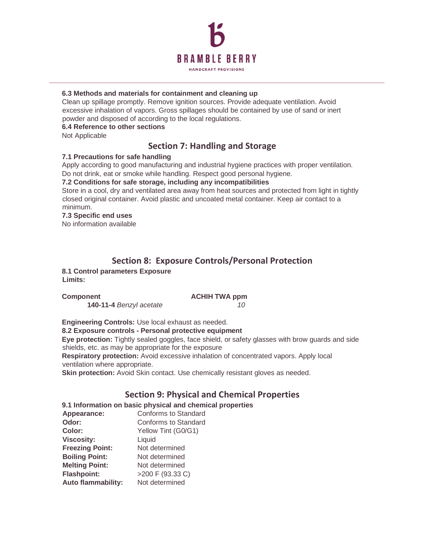

#### **6.3 Methods and materials for containment and cleaning up**

Clean up spillage promptly. Remove ignition sources. Provide adequate ventilation. Avoid excessive inhalation of vapors. Gross spillages should be contained by use of sand or inert powder and disposed of according to the local regulations.

#### **6.4 Reference to other sections**

Not Applicable

### **Section 7: Handling and Storage**

### **7.1 Precautions for safe handling**

Apply according to good manufacturing and industrial hygiene practices with proper ventilation. Do not drink, eat or smoke while handling. Respect good personal hygiene.

#### **7.2 Conditions for safe storage, including any incompatibilities**

Store in a cool, dry and ventilated area away from heat sources and protected from light in tightly closed original container. Avoid plastic and uncoated metal container. Keep air contact to a minimum.

### **7.3 Specific end uses**

No information available

## **Section 8: Exposure Controls/Personal Protection**

**8.1 Control parameters Exposure Limits:** 

#### **Component Component ACHIH TWA ppm**

**140-11-4** *Benzyl acetate 10* 

**Engineering Controls:** Use local exhaust as needed. **8.2 Exposure controls - Personal protective equipment Eye protection:** Tightly sealed goggles, face shield, or safety glasses with brow guards and side shields, etc. as may be appropriate for the exposure **Respiratory protection:** Avoid excessive inhalation of concentrated vapors. Apply local ventilation where appropriate. **Skin protection:** Avoid Skin contact. Use chemically resistant gloves as needed.

## **Section 9: Physical and Chemical Properties**

| 9.1 Information on basic physical and chemical properties |                             |  |  |  |
|-----------------------------------------------------------|-----------------------------|--|--|--|
| Appearance:                                               | <b>Conforms to Standard</b> |  |  |  |
| Odor:                                                     | <b>Conforms to Standard</b> |  |  |  |
| Color:                                                    | Yellow Tint (G0/G1)         |  |  |  |
| <b>Viscosity:</b>                                         | Liquid                      |  |  |  |
| <b>Freezing Point:</b>                                    | Not determined              |  |  |  |
| <b>Boiling Point:</b>                                     | Not determined              |  |  |  |
| <b>Melting Point:</b>                                     | Not determined              |  |  |  |
| <b>Flashpoint:</b>                                        | >200 F (93.33 C)            |  |  |  |
| <b>Auto flammability:</b>                                 | Not determined              |  |  |  |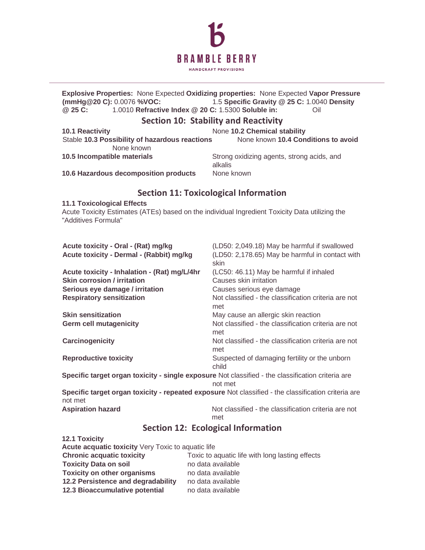

**Explosive Properties:** None Expected **Oxidizing properties:** None Expected **Vapor Pressure (mmHg@20 C):** 0.0076 **%VOC:** 1.5 **Specific Gravity @ 25 C:** 1.0040 **Density @ 25 C:** 1.0010 **Refractive Index @ 20 C:** 1.5300 **Soluble in:** Oil

### **Section 10: Stability and Reactivity**

| <b>10.1 Reactivity</b>                         | None 10.2 Chemical stability                          |
|------------------------------------------------|-------------------------------------------------------|
| Stable 10.3 Possibility of hazardous reactions | None known 10.4 Conditions to avoid                   |
| None known                                     |                                                       |
| 10.5 Incompatible materials                    | Strong oxidizing agents, strong acids, and<br>alkalis |
| 10.6 Hazardous decomposition products          | None known                                            |

## **Section 11: Toxicological Information**

#### **11.1 Toxicological Effects**

Acute Toxicity Estimates (ATEs) based on the individual Ingredient Toxicity Data utilizing the "Additives Formula"

| Acute toxicity - Oral - (Rat) mg/kg                                                               | (LD50: 2,049.18) May be harmful if swallowed                                                        |
|---------------------------------------------------------------------------------------------------|-----------------------------------------------------------------------------------------------------|
| Acute toxicity - Dermal - (Rabbit) mg/kg                                                          | (LD50: 2,178.65) May be harmful in contact with<br>skin                                             |
| Acute toxicity - Inhalation - (Rat) mg/L/4hr                                                      | (LC50: 46.11) May be harmful if inhaled                                                             |
| <b>Skin corrosion / irritation</b>                                                                | Causes skin irritation                                                                              |
| Serious eye damage / irritation                                                                   | Causes serious eye damage                                                                           |
| <b>Respiratory sensitization</b>                                                                  | Not classified - the classification criteria are not<br>met                                         |
| <b>Skin sensitization</b>                                                                         | May cause an allergic skin reaction                                                                 |
| <b>Germ cell mutagenicity</b>                                                                     | Not classified - the classification criteria are not<br>met                                         |
| Carcinogenicity                                                                                   | Not classified - the classification criteria are not<br>met                                         |
| <b>Reproductive toxicity</b>                                                                      | Suspected of damaging fertility or the unborn<br>child                                              |
| Specific target organ toxicity - single exposure Not classified - the classification criteria are | not met                                                                                             |
| not met                                                                                           | Specific target organ toxicity - repeated exposure Not classified - the classification criteria are |
| <b>Aspiration hazard</b>                                                                          | Not classified - the classification criteria are not<br>met                                         |

## **Section 12: Ecological Information**

| <b>12.1 Toxicity</b>                                                                |                   |  |  |  |
|-------------------------------------------------------------------------------------|-------------------|--|--|--|
| Acute acquatic toxicity Very Toxic to aquatic life                                  |                   |  |  |  |
| <b>Chronic acquatic toxicity</b><br>Toxic to aquatic life with long lasting effects |                   |  |  |  |
| <b>Toxicity Data on soil</b>                                                        | no data available |  |  |  |
| <b>Toxicity on other organisms</b>                                                  | no data available |  |  |  |
| 12.2 Persistence and degradability                                                  | no data available |  |  |  |
| 12.3 Bioaccumulative potential                                                      | no data available |  |  |  |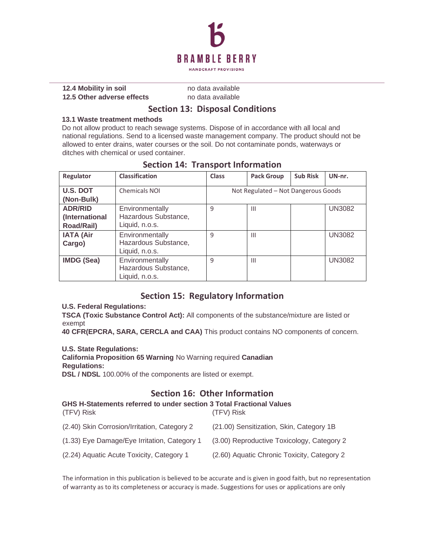

**12.4 Mobility in soil no data available 12.5 Other adverse effects** no data available

### **Section 13: Disposal Conditions**

#### **13.1 Waste treatment methods**

Do not allow product to reach sewage systems. Dispose of in accordance with all local and national regulations. Send to a licensed waste management company. The product should not be allowed to enter drains, water courses or the soil. Do not contaminate ponds, waterways or ditches with chemical or used container.

| Regulator                                      | <b>Classification</b>                                     | Class                               | <b>Pack Group</b> | <b>Sub Risk</b> | UN-nr.        |
|------------------------------------------------|-----------------------------------------------------------|-------------------------------------|-------------------|-----------------|---------------|
| U.S. DOT<br>(Non-Bulk)                         | <b>Chemicals NOI</b>                                      | Not Regulated - Not Dangerous Goods |                   |                 |               |
| <b>ADR/RID</b><br>(International<br>Road/Rail) | Environmentally<br>Hazardous Substance,<br>Liquid, n.o.s. | 9                                   | $\mathbf{III}$    |                 | <b>UN3082</b> |
| <b>IATA (Air</b><br>Cargo)                     | Environmentally<br>Hazardous Substance,<br>Liquid, n.o.s. | 9                                   | Ш                 |                 | <b>UN3082</b> |
| <b>IMDG (Sea)</b>                              | Environmentally<br>Hazardous Substance,<br>Liquid, n.o.s. | 9                                   | Ш                 |                 | <b>UN3082</b> |

## **Section 14: Transport Information**

## **Section 15: Regulatory Information**

### **U.S. Federal Regulations:**

**TSCA (Toxic Substance Control Act):** All components of the substance/mixture are listed or exempt

**40 CFR(EPCRA, SARA, CERCLA and CAA)** This product contains NO components of concern.

### **U.S. State Regulations:**

**California Proposition 65 Warning** No Warning required **Canadian Regulations:** 

**DSL / NDSL** 100.00% of the components are listed or exempt.

## **Section 16: Other Information**

| <b>GHS H-Statements referred to under section 3 Total Fractional Values</b><br>(TFV) Risk | (TFV) Risk                                  |
|-------------------------------------------------------------------------------------------|---------------------------------------------|
| (2.40) Skin Corrosion/Irritation, Category 2                                              | (21.00) Sensitization, Skin, Category 1B    |
| (1.33) Eye Damage/Eye Irritation, Category 1                                              | (3.00) Reproductive Toxicology, Category 2  |
| (2.24) Aquatic Acute Toxicity, Category 1                                                 | (2.60) Aquatic Chronic Toxicity, Category 2 |

The information in this publication is believed to be accurate and is given in good faith, but no representation of warranty as to its completeness or accuracy is made. Suggestions for uses or applications are only